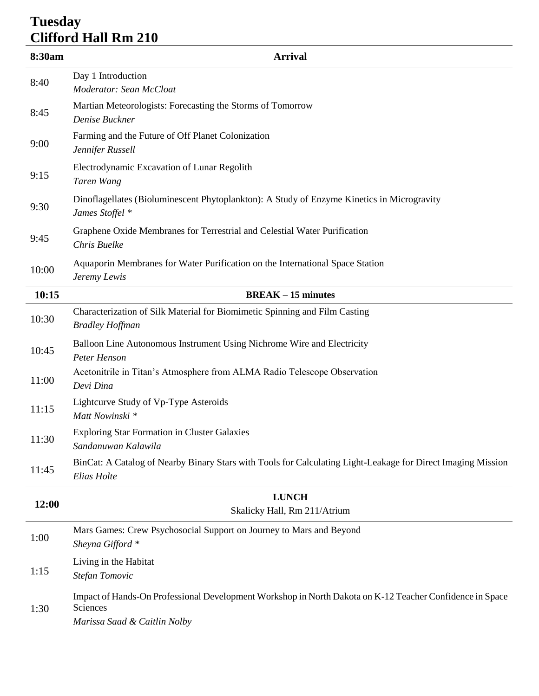## **Tuesday Clifford Hall Rm 210**

| 8:30am | <b>Arrival</b>                                                                                                                                       |  |
|--------|------------------------------------------------------------------------------------------------------------------------------------------------------|--|
| 8:40   | Day 1 Introduction<br>Moderator: Sean McCloat                                                                                                        |  |
| 8:45   | Martian Meteorologists: Forecasting the Storms of Tomorrow<br>Denise Buckner                                                                         |  |
| 9:00   | Farming and the Future of Off Planet Colonization<br>Jennifer Russell                                                                                |  |
| 9:15   | Electrodynamic Excavation of Lunar Regolith<br>Taren Wang                                                                                            |  |
| 9:30   | Dinoflagellates (Bioluminescent Phytoplankton): A Study of Enzyme Kinetics in Microgravity<br>James Stoffel *                                        |  |
| 9:45   | Graphene Oxide Membranes for Terrestrial and Celestial Water Purification<br>Chris Buelke                                                            |  |
| 10:00  | Aquaporin Membranes for Water Purification on the International Space Station<br>Jeremy Lewis                                                        |  |
| 10:15  | $BREAK - 15$ minutes                                                                                                                                 |  |
| 10:30  | Characterization of Silk Material for Biomimetic Spinning and Film Casting<br><b>Bradley Hoffman</b>                                                 |  |
| 10:45  | Balloon Line Autonomous Instrument Using Nichrome Wire and Electricity<br>Peter Henson                                                               |  |
| 11:00  | Acetonitrile in Titan's Atmosphere from ALMA Radio Telescope Observation<br>Devi Dina                                                                |  |
| 11:15  | Lightcurve Study of Vp-Type Asteroids<br>Matt Nowinski *                                                                                             |  |
| 11:30  | <b>Exploring Star Formation in Cluster Galaxies</b><br>Sandanuwan Kalawila                                                                           |  |
| 11:45  | BinCat: A Catalog of Nearby Binary Stars with Tools for Calculating Light-Leakage for Direct Imaging Mission<br>Elias Holte                          |  |
| 12:00  | <b>LUNCH</b><br>Skalicky Hall, Rm 211/Atrium                                                                                                         |  |
| 1:00   | Mars Games: Crew Psychosocial Support on Journey to Mars and Beyond<br>Sheyna Gifford *                                                              |  |
| 1:15   | Living in the Habitat<br>Stefan Tomovic                                                                                                              |  |
| 1:30   | Impact of Hands-On Professional Development Workshop in North Dakota on K-12 Teacher Confidence in Space<br>Sciences<br>Marissa Saad & Caitlin Nolby |  |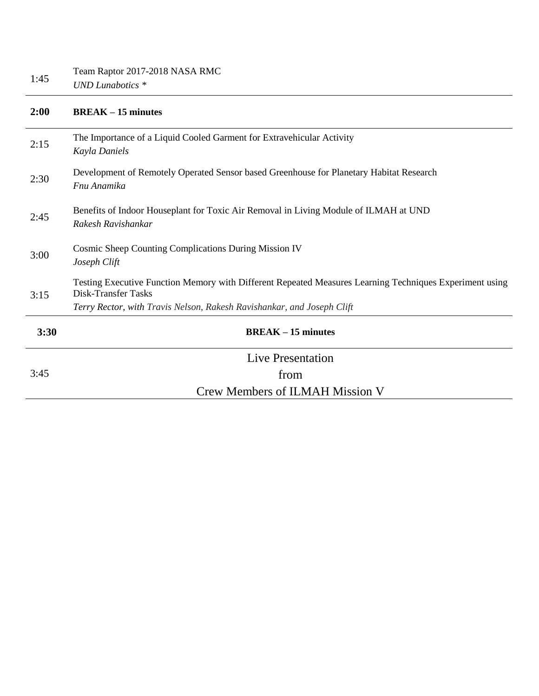| 2:00 | $BREAK - 15$ minutes                                                                                                                                                                                     |  |
|------|----------------------------------------------------------------------------------------------------------------------------------------------------------------------------------------------------------|--|
| 2:15 | The Importance of a Liquid Cooled Garment for Extravehicular Activity<br>Kayla Daniels                                                                                                                   |  |
| 2:30 | Development of Remotely Operated Sensor based Greenhouse for Planetary Habitat Research<br>Fnu Anamika                                                                                                   |  |
| 2:45 | Benefits of Indoor Houseplant for Toxic Air Removal in Living Module of ILMAH at UND<br>Rakesh Ravishankar                                                                                               |  |
| 3:00 | Cosmic Sheep Counting Complications During Mission IV<br>Joseph Clift                                                                                                                                    |  |
| 3:15 | Testing Executive Function Memory with Different Repeated Measures Learning Techniques Experiment using<br>Disk-Transfer Tasks<br>Terry Rector, with Travis Nelson, Rakesh Ravishankar, and Joseph Clift |  |
| 3:30 | $BREAK - 15$ minutes                                                                                                                                                                                     |  |
| 3:45 | Live Presentation                                                                                                                                                                                        |  |
|      | from                                                                                                                                                                                                     |  |
|      | <b>Crew Members of ILMAH Mission V</b>                                                                                                                                                                   |  |